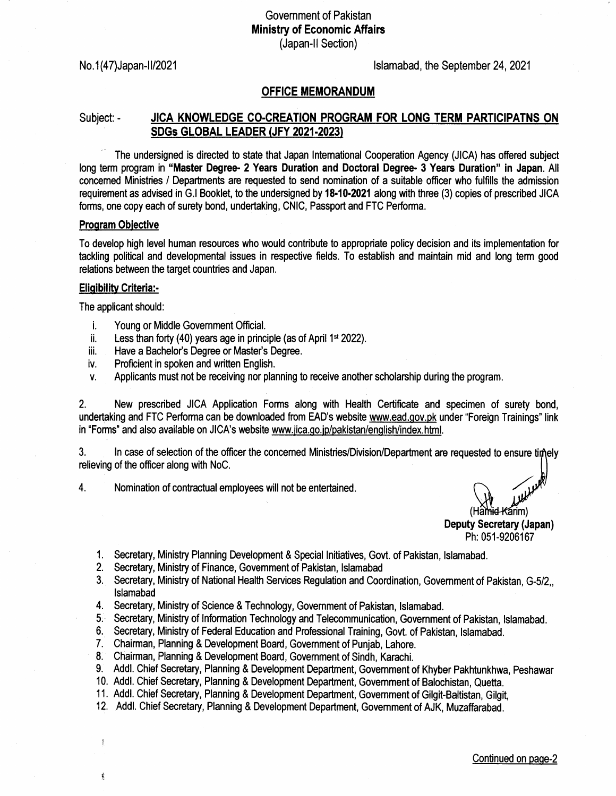Government of Pakistan Ministry of Economic Affairs (Japan-ll Section)

No.1(47)Japan-II/2021 **Islamabad, the September 24, 2021** 

## OFFICE MEMORANDUM

## Subject: - JICA KNOWLEDGE CO-CREATION PROGRAM FOR LONG TERM PARTICIPATNS ON SDGs GLOBAL LEADER (JFY 2021-2023)

. The undersigned is directed to state that Japan lntemational Cooperation Agency (JICA) has offered subject long term program in "Master Degree- 2 Years Duration and Doctoral Degree- 3 Years Duration" in Japan. All concemed Ministries / Departments are requested to send nomination of a suitable officer who fulfills the admission requirement as advised in G.l Booklet, to the undersigned by 18-10-2021 along with three (3) copies of prescribed JICA forms, one copy each of surety bond, undertaking, CNIC, Passport and FTC Performa.

## Proqram Obiective

To develop high level human resources who would contribute to appropriate policy decision and its implementation for tackling political and developmental issues in respective fields. To establish and maintain mid and long term good relations between the target countries and Japan,

## **Eligibility Criteria:-**

The applicant should:

t

- 
- i. Young or Middle Government Official.<br>ii. Less than forty (40) years age in principle (as of April 1<sup>st</sup> 2022).<br>iii. Have a Bachelor's Degree or Master's Degree.<br>iv. Proficient in spoken and written English.
- 
- 
- v. Applicants must not be receiving nor planning to receive another scholarship during the program.

2. New prescribed JICA Application Forms along with Health Certificate and specimen of surety bond, undertaking and FTC Performa can be downloaded from EAD's website www.ead.qov.pk under "Foreign Trainings" link in "Forms" and also available on JICA's website www.jica.go.jp/pakistan/english/index.html.

3. In case of selection of the officer the concerned Ministries/Division/Department are requested to ensure relieving of the officer along with NoC.

4. Nomination of contractualemployees will not be entertained

(Hamid-Karim)

Deputy Secretary (Japan) Ph:051-9206167

- 1. Secretary, Ministry Planning Development & Special Initiatives, Govt. of Pakistan, Islamabad
- Secretary, Ministry of Finance, Govemment of Pakistan, lslamabad 2.
- 3. Secretary, Ministry of National Health Services Regulation and Coordination, Government of Pakistan, G-5/2, lslamabad
- 4. Secretary, Ministry of Science & Technology, Government of Pakistan, Islamabad
- 5. Secretary, Ministry of Information Technology and Telecommunication, Government of Pakistan, Islamabad
- 6. Secretary, Ministry of Federal Education and Professional Training, Govt. of Pakistan, Islamabad
- 7. Chairman, Planning & Development Board, Government of Punjab, Lahore.
- Chairman, Planning & Development Board, Government of Sindh, Karachi. I
- . Addl. Chief Secretary, Planning & Development Department, Govemment of Khyber Pakhtunkhwa, Peshawar I
- 10. Addl. Chief Secretary, Planning & Development Department, Govemment of Balochistan, Quetta.
- 11. Addl. Chief Secretary, Planning & Development Department, Govemment of Gilgit-Baltistan, Gilgit,
- 12. Add!. Chief Secretary, Planning & Development Department, Govemment of AJK, Muzaffarabad.

Continued on paqe-2